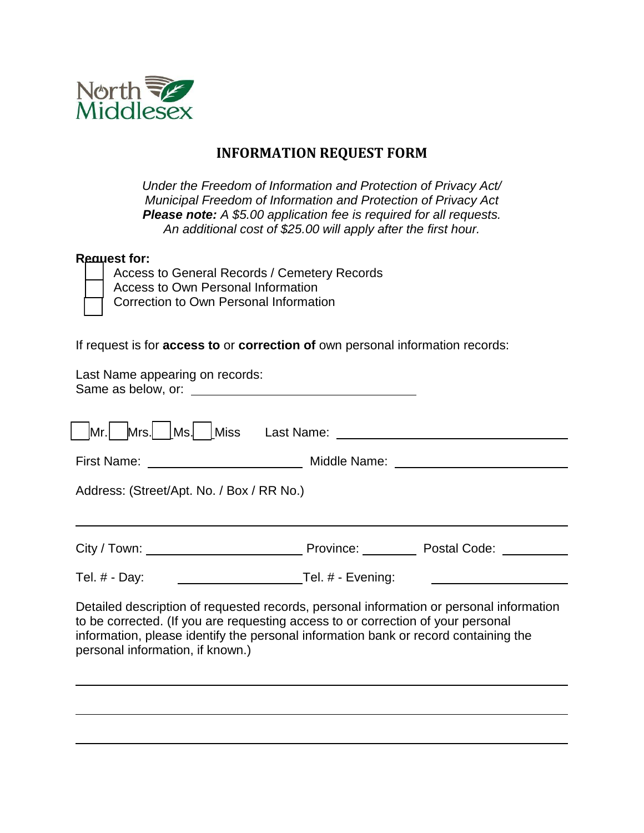

## **INFORMATION REQUEST FORM**

*Under the Freedom of Information and Protection of Privacy Act/ Municipal Freedom of Information and Protection of Privacy Act Please note: A \$5.00 application fee is required for all requests. An additional cost of \$25.00 will apply after the first hour.*

## **Request for:**

| Access to General Records / Cemetery Records |
|----------------------------------------------|
| Access to Own Personal Information           |
| T Correction to Own Personal Information     |

If request is for **access to** or **correction of** own personal information records:

| Last Name appearing on records:                                                                                                                                                                                                                                                                        |  |  |  |  |
|--------------------------------------------------------------------------------------------------------------------------------------------------------------------------------------------------------------------------------------------------------------------------------------------------------|--|--|--|--|
|                                                                                                                                                                                                                                                                                                        |  |  |  |  |
|                                                                                                                                                                                                                                                                                                        |  |  |  |  |
| Address: (Street/Apt. No. / Box / RR No.)                                                                                                                                                                                                                                                              |  |  |  |  |
|                                                                                                                                                                                                                                                                                                        |  |  |  |  |
| Tel. # - Evening:<br>Tel. $#$ - Day:                                                                                                                                                                                                                                                                   |  |  |  |  |
| Detailed description of requested records, personal information or personal information<br>to be corrected. (If you are requesting access to or correction of your personal<br>information, please identify the personal information bank or record containing the<br>personal information, if known.) |  |  |  |  |